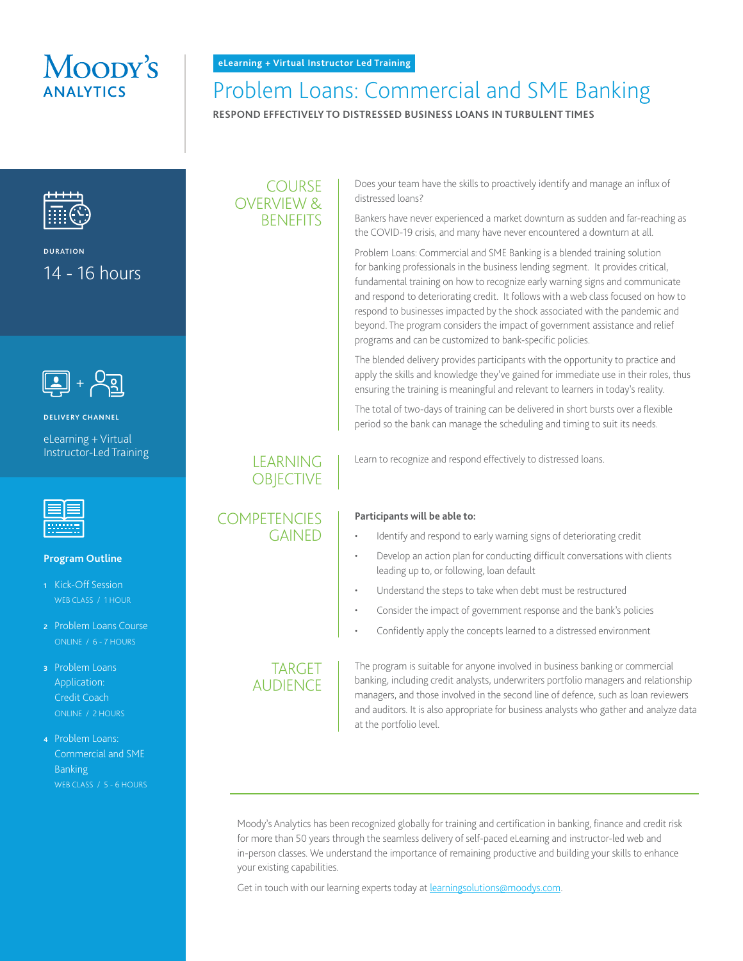# Moopy's

# Problem Loans: Commercial and SME Banking

**RESPOND EFFECTIVELY TO DISTRESSED BUSINESS LOANS IN TURBULENT TIMES**



**DURATION** 14 - 16 hours



**DELIVERY CHANNEL**

eLearning + Virtual Instructor-Led Training



#### **Program Outline**

- **<sup>1</sup>** Kick-Off Session WEB CLASS / 1 HOUR
- **<sup>2</sup>** Problem Loans Course ONLINE / 6 - 7 HOURS
- **<sup>3</sup>** Problem Loans Application: Credit Coach ONLINE / 2 HOURS
- **<sup>4</sup>** Problem Loans: Commercial and SME **Banking** WEB CLASS / 5 - 6 HOURS

### COURSE OVERVIEW & **BENEFITS**

Does your team have the skills to proactively identify and manage an influx of distressed loans?

Bankers have never experienced a market downturn as sudden and far-reaching as the COVID-19 crisis, and many have never encountered a downturn at all.

Problem Loans: Commercial and SME Banking is a blended training solution for banking professionals in the business lending segment. It provides critical, fundamental training on how to recognize early warning signs and communicate and respond to deteriorating credit. It follows with a web class focused on how to respond to businesses impacted by the shock associated with the pandemic and beyond. The program considers the impact of government assistance and relief programs and can be customized to bank-specific policies.

The blended delivery provides participants with the opportunity to practice and apply the skills and knowledge they've gained for immediate use in their roles, thus ensuring the training is meaningful and relevant to learners in today's reality.

The total of two-days of training can be delivered in short bursts over a flexible period so the bank can manage the scheduling and timing to suit its needs.

Learn to recognize and respond effectively to distressed loans.

#### **COMPETENCIES** GAINED

**LEARNING OBJECTIVE** 

- **Participants will be able to:** 
	- Identify and respond to early warning signs of deteriorating credit
	- Develop an action plan for conducting difficult conversations with clients leading up to, or following, loan default
	- Understand the steps to take when debt must be restructured
	- Consider the impact of government response and the bank's policies
	- Confidently apply the concepts learned to a distressed environment

## **TARGET** AUDIENCE

The program is suitable for anyone involved in business banking or commercial banking, including credit analysts, underwriters portfolio managers and relationship managers, and those involved in the second line of defence, such as loan reviewers and auditors. It is also appropriate for business analysts who gather and analyze data at the portfolio level.

Moody's Analytics has been recognized globally for training and certification in banking, finance and credit risk for more than 50 years through the seamless delivery of self-paced eLearning and instructor-led web and in-person classes. We understand the importance of remaining productive and building your skills to enhance your existing capabilities.

Get in touch with our learning experts today at [learningsolutions@moodys.com](http://learningsolutions@moodys.com).